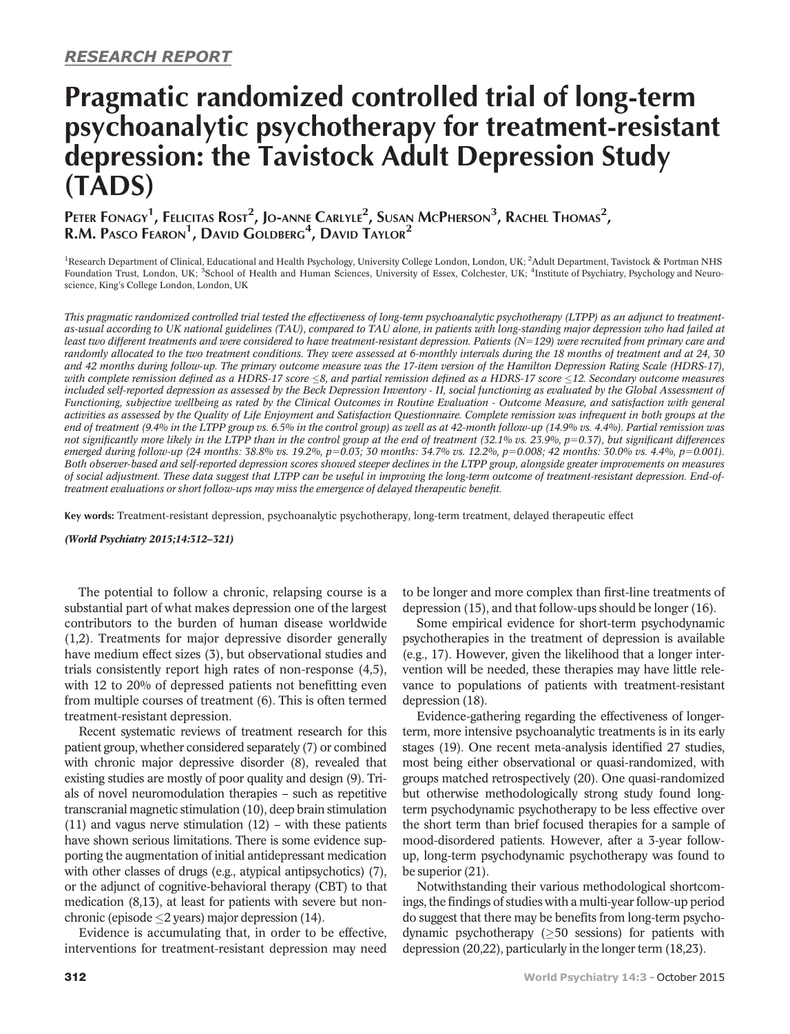# Pragmatic randomized controlled trial of long-term psychoanalytic psychotherapy for treatment-resistant depression: the Tavistock Adult Depression Study (TADS)

Peter Fonagy<sup>1</sup>, Felicitas Rost<sup>2</sup>, Jo-anne Carlyle<sup>2</sup>, Susan McPherson<sup>3</sup>, Rachel Thomas<sup>2</sup>, R.M. Pasco Fearon<sup>1</sup>, David Goldberg<sup>4</sup>, David Taylor<sup>2</sup>

<sup>1</sup>Research Department of Clinical, Educational and Health Psychology, University College London, London, UK; <sup>2</sup>Adult Department, Tavistock & Portman NHS Foundation Trust, London, UK; <sup>3</sup>School of Health and Human Sciences, University of Essex, Colchester, UK; <sup>4</sup>Institute of Psychiatry, Psychology and Neuroscience, King's College London, London, UK

This pragmatic randomized controlled trial tested the effectiveness of long-term psychoanalytic psychotherapy (LTPP) as an adjunct to treatmentas-usual according to UK national guidelines (TAU), compared to TAU alone, in patients with long-standing major depression who had failed at least two different treatments and were considered to have treatment-resistant depression. Patients  $(N=129)$  were recruited from primary care and randomly allocated to the two treatment conditions. They were assessed at 6-monthly intervals during the 18 months of treatment and at 24, 30 and 42 months during follow-up. The primary outcome measure was the 17-item version of the Hamilton Depression Rating Scale (HDRS-17), with complete remission defined as a HDRS-17 score  $\leq$ 8, and partial remission defined as a HDRS-17 score  $\leq$ 12. Secondary outcome measures included self-reported depression as assessed by the Beck Depression Inventory - II, social functioning as evaluated by the Global Assessment of Functioning, subjective wellbeing as rated by the Clinical Outcomes in Routine Evaluation - Outcome Measure, and satisfaction with general activities as assessed by the Quality of Life Enjoyment and Satisfaction Questionnaire. Complete remission was infrequent in both groups at the end of treatment (9.4% in the LTPP group vs. 6.5% in the control group) as well as at 42-month follow-up (14.9% vs. 4.4%). Partial remission was not significantly more likely in the LTPP than in the control group at the end of treatment (32.1% vs. 23.9%,  $p=0.37$ ), but significant differences emerged during follow-up (24 months: 38.8% vs. 19.2%, p=0.03; 30 months: 34.7% vs. 12.2%, p=0.008; 42 months: 30.0% vs. 4.4%, p=0.001). Both observer-based and self-reported depression scores showed steeper declines in the LTPP group, alongside greater improvements on measures of social adjustment. These data suggest that LTPP can be useful in improving the long-term outcome of treatment-resistant depression. End-oftreatment evaluations or short follow-ups may miss the emergence of delayed therapeutic benefit.

Key words: Treatment-resistant depression, psychoanalytic psychotherapy, long-term treatment, delayed therapeutic effect

(World Psychiatry 2015;14:312–321)

The potential to follow a chronic, relapsing course is a substantial part of what makes depression one of the largest contributors to the burden of human disease worldwide (1,2). Treatments for major depressive disorder generally have medium effect sizes (3), but observational studies and trials consistently report high rates of non-response (4,5), with 12 to 20% of depressed patients not benefitting even from multiple courses of treatment (6). This is often termed treatment-resistant depression.

Recent systematic reviews of treatment research for this patient group, whether considered separately (7) or combined with chronic major depressive disorder (8), revealed that existing studies are mostly of poor quality and design (9). Trials of novel neuromodulation therapies – such as repetitive transcranial magnetic stimulation (10), deep brain stimulation (11) and vagus nerve stimulation (12) – with these patients have shown serious limitations. There is some evidence supporting the augmentation of initial antidepressant medication with other classes of drugs (e.g., atypical antipsychotics) (7), or the adjunct of cognitive-behavioral therapy (CBT) to that medication (8,13), at least for patients with severe but nonchronic (episode  $\leq$ 2 years) major depression (14).

Evidence is accumulating that, in order to be effective, interventions for treatment-resistant depression may need to be longer and more complex than first-line treatments of depression (15), and that follow-ups should be longer (16).

Some empirical evidence for short-term psychodynamic psychotherapies in the treatment of depression is available (e.g., 17). However, given the likelihood that a longer intervention will be needed, these therapies may have little relevance to populations of patients with treatment-resistant depression (18).

Evidence-gathering regarding the effectiveness of longerterm, more intensive psychoanalytic treatments is in its early stages (19). One recent meta-analysis identified 27 studies, most being either observational or quasi-randomized, with groups matched retrospectively (20). One quasi-randomized but otherwise methodologically strong study found longterm psychodynamic psychotherapy to be less effective over the short term than brief focused therapies for a sample of mood-disordered patients. However, after a 3-year followup, long-term psychodynamic psychotherapy was found to be superior (21).

Notwithstanding their various methodological shortcomings, the findings of studies with a multi-year follow-up period do suggest that there may be benefits from long-term psychodynamic psychotherapy  $(≥50$  sessions) for patients with depression (20,22), particularly in the longer term (18,23).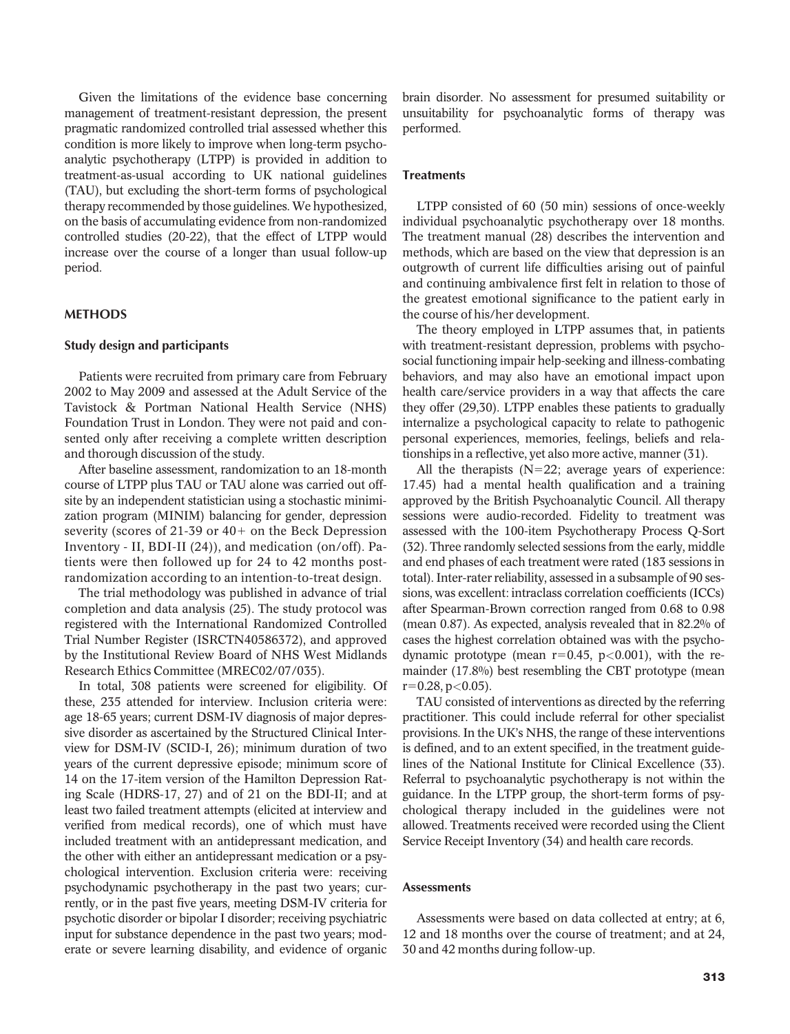Given the limitations of the evidence base concerning management of treatment-resistant depression, the present pragmatic randomized controlled trial assessed whether this condition is more likely to improve when long-term psychoanalytic psychotherapy (LTPP) is provided in addition to treatment-as-usual according to UK national guidelines (TAU), but excluding the short-term forms of psychological therapy recommended by those guidelines. We hypothesized, on the basis of accumulating evidence from non-randomized controlled studies (20-22), that the effect of LTPP would increase over the course of a longer than usual follow-up period.

## **METHODS**

### Study design and participants

Patients were recruited from primary care from February 2002 to May 2009 and assessed at the Adult Service of the Tavistock & Portman National Health Service (NHS) Foundation Trust in London. They were not paid and consented only after receiving a complete written description and thorough discussion of the study.

After baseline assessment, randomization to an 18-month course of LTPP plus TAU or TAU alone was carried out offsite by an independent statistician using a stochastic minimization program (MINIM) balancing for gender, depression severity (scores of 21-39 or  $40+$  on the Beck Depression Inventory - II, BDI-II (24)), and medication (on/off). Patients were then followed up for 24 to 42 months postrandomization according to an intention-to-treat design.

The trial methodology was published in advance of trial completion and data analysis (25). The study protocol was registered with the International Randomized Controlled Trial Number Register (ISRCTN40586372), and approved by the Institutional Review Board of NHS West Midlands Research Ethics Committee (MREC02/07/035).

In total, 308 patients were screened for eligibility. Of these, 235 attended for interview. Inclusion criteria were: age 18-65 years; current DSM-IV diagnosis of major depressive disorder as ascertained by the Structured Clinical Interview for DSM-IV (SCID-I, 26); minimum duration of two years of the current depressive episode; minimum score of 14 on the 17-item version of the Hamilton Depression Rating Scale (HDRS-17, 27) and of 21 on the BDI-II; and at least two failed treatment attempts (elicited at interview and verified from medical records), one of which must have included treatment with an antidepressant medication, and the other with either an antidepressant medication or a psychological intervention. Exclusion criteria were: receiving psychodynamic psychotherapy in the past two years; currently, or in the past five years, meeting DSM-IV criteria for psychotic disorder or bipolar I disorder; receiving psychiatric input for substance dependence in the past two years; moderate or severe learning disability, and evidence of organic

brain disorder. No assessment for presumed suitability or unsuitability for psychoanalytic forms of therapy was performed.

#### **Treatments**

LTPP consisted of 60 (50 min) sessions of once-weekly individual psychoanalytic psychotherapy over 18 months. The treatment manual (28) describes the intervention and methods, which are based on the view that depression is an outgrowth of current life difficulties arising out of painful and continuing ambivalence first felt in relation to those of the greatest emotional significance to the patient early in the course of his/her development.

The theory employed in LTPP assumes that, in patients with treatment-resistant depression, problems with psychosocial functioning impair help-seeking and illness-combating behaviors, and may also have an emotional impact upon health care/service providers in a way that affects the care they offer (29,30). LTPP enables these patients to gradually internalize a psychological capacity to relate to pathogenic personal experiences, memories, feelings, beliefs and relationships in a reflective, yet also more active, manner (31).

All the therapists  $(N=22;$  average years of experience: 17.45) had a mental health qualification and a training approved by the British Psychoanalytic Council. All therapy sessions were audio-recorded. Fidelity to treatment was assessed with the 100-item Psychotherapy Process Q-Sort (32). Three randomly selected sessions from the early, middle and end phases of each treatment were rated (183 sessions in total). Inter-rater reliability, assessed in a subsample of 90 sessions, was excellent: intraclass correlation coefficients (ICCs) after Spearman-Brown correction ranged from 0.68 to 0.98 (mean 0.87). As expected, analysis revealed that in 82.2% of cases the highest correlation obtained was with the psychodynamic prototype (mean  $r=0.45$ , p $<0.001$ ), with the remainder (17.8%) best resembling the CBT prototype (mean  $r=0.28$ , p $<0.05$ ).

TAU consisted of interventions as directed by the referring practitioner. This could include referral for other specialist provisions. In the UK's NHS, the range of these interventions is defined, and to an extent specified, in the treatment guidelines of the National Institute for Clinical Excellence (33). Referral to psychoanalytic psychotherapy is not within the guidance. In the LTPP group, the short-term forms of psychological therapy included in the guidelines were not allowed. Treatments received were recorded using the Client Service Receipt Inventory (34) and health care records.

#### **Assessments**

Assessments were based on data collected at entry; at 6, 12 and 18 months over the course of treatment; and at 24, 30 and 42 months during follow-up.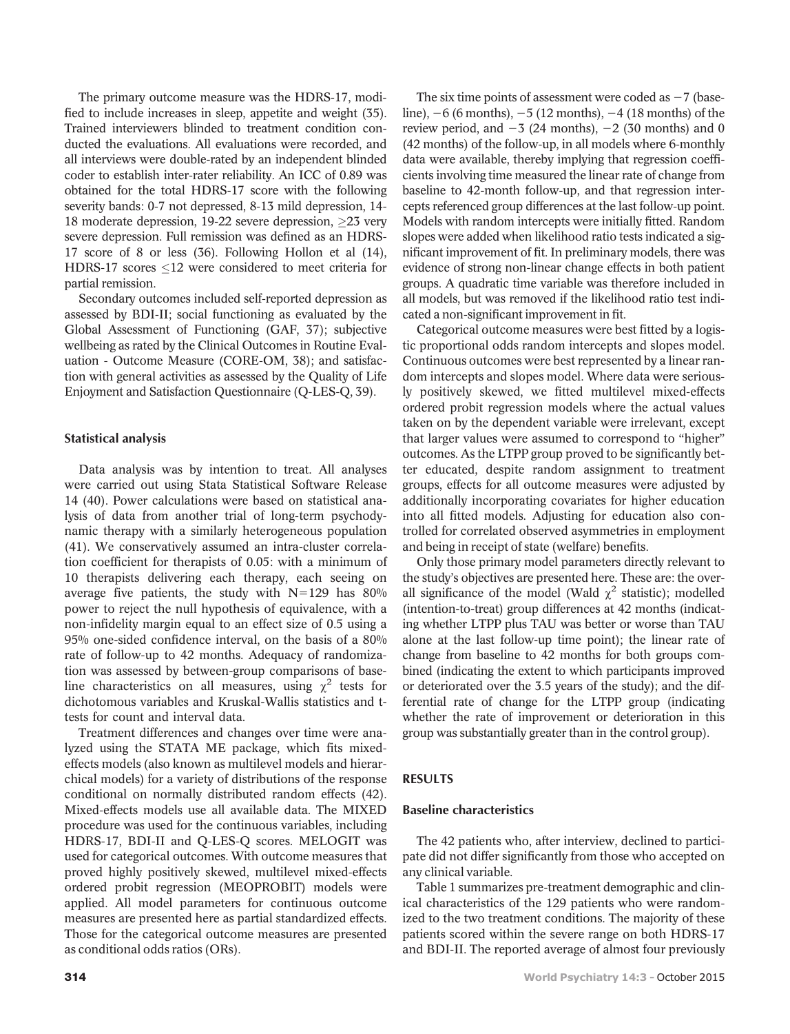The primary outcome measure was the HDRS-17, modified to include increases in sleep, appetite and weight (35). Trained interviewers blinded to treatment condition conducted the evaluations. All evaluations were recorded, and all interviews were double-rated by an independent blinded coder to establish inter-rater reliability. An ICC of 0.89 was obtained for the total HDRS-17 score with the following severity bands: 0-7 not depressed, 8-13 mild depression, 14- 18 moderate depression, 19-22 severe depression, 23 very severe depression. Full remission was defined as an HDRS-17 score of 8 or less (36). Following Hollon et al (14), HDRS-17 scores  $\leq$ 12 were considered to meet criteria for partial remission.

Secondary outcomes included self-reported depression as assessed by BDI-II; social functioning as evaluated by the Global Assessment of Functioning (GAF, 37); subjective wellbeing as rated by the Clinical Outcomes in Routine Evaluation - Outcome Measure (CORE-OM, 38); and satisfaction with general activities as assessed by the Quality of Life Enjoyment and Satisfaction Questionnaire (Q-LES-Q, 39).

## Statistical analysis

Data analysis was by intention to treat. All analyses were carried out using Stata Statistical Software Release 14 (40). Power calculations were based on statistical analysis of data from another trial of long-term psychodynamic therapy with a similarly heterogeneous population (41). We conservatively assumed an intra-cluster correlation coefficient for therapists of 0.05: with a minimum of 10 therapists delivering each therapy, each seeing on average five patients, the study with  $N=129$  has 80% power to reject the null hypothesis of equivalence, with a non-infidelity margin equal to an effect size of 0.5 using a 95% one-sided confidence interval, on the basis of a 80% rate of follow-up to 42 months. Adequacy of randomization was assessed by between-group comparisons of baseline characteristics on all measures, using  $\chi^2$  tests for dichotomous variables and Kruskal-Wallis statistics and ttests for count and interval data.

Treatment differences and changes over time were analyzed using the STATA ME package, which fits mixedeffects models (also known as multilevel models and hierarchical models) for a variety of distributions of the response conditional on normally distributed random effects (42). Mixed-effects models use all available data. The MIXED procedure was used for the continuous variables, including HDRS-17, BDI-II and Q-LES-Q scores. MELOGIT was used for categorical outcomes. With outcome measures that proved highly positively skewed, multilevel mixed-effects ordered probit regression (MEOPROBIT) models were applied. All model parameters for continuous outcome measures are presented here as partial standardized effects. Those for the categorical outcome measures are presented as conditional odds ratios (ORs).

The six time points of assessment were coded as  $-7$  (baseline),  $-6$  (6 months),  $-5$  (12 months),  $-4$  (18 months) of the review period, and  $-3$  (24 months),  $-2$  (30 months) and 0 (42 months) of the follow-up, in all models where 6-monthly data were available, thereby implying that regression coefficients involving time measured the linear rate of change from baseline to 42-month follow-up, and that regression intercepts referenced group differences at the last follow-up point. Models with random intercepts were initially fitted. Random slopes were added when likelihood ratio tests indicated a significant improvement of fit. In preliminary models, there was evidence of strong non-linear change effects in both patient groups. A quadratic time variable was therefore included in all models, but was removed if the likelihood ratio test indicated a non-significant improvement in fit.

Categorical outcome measures were best fitted by a logistic proportional odds random intercepts and slopes model. Continuous outcomes were best represented by a linear random intercepts and slopes model. Where data were seriously positively skewed, we fitted multilevel mixed-effects ordered probit regression models where the actual values taken on by the dependent variable were irrelevant, except that larger values were assumed to correspond to "higher" outcomes. As the LTPP group proved to be significantly better educated, despite random assignment to treatment groups, effects for all outcome measures were adjusted by additionally incorporating covariates for higher education into all fitted models. Adjusting for education also controlled for correlated observed asymmetries in employment and being in receipt of state (welfare) benefits.

Only those primary model parameters directly relevant to the study's objectives are presented here. These are: the overall significance of the model (Wald  $\chi^2$  statistic); modelled (intention-to-treat) group differences at 42 months (indicating whether LTPP plus TAU was better or worse than TAU alone at the last follow-up time point); the linear rate of change from baseline to 42 months for both groups combined (indicating the extent to which participants improved or deteriorated over the 3.5 years of the study); and the differential rate of change for the LTPP group (indicating whether the rate of improvement or deterioration in this group was substantially greater than in the control group).

### RESULTS

### Baseline characteristics

The 42 patients who, after interview, declined to participate did not differ significantly from those who accepted on any clinical variable.

Table 1 summarizes pre-treatment demographic and clinical characteristics of the 129 patients who were randomized to the two treatment conditions. The majority of these patients scored within the severe range on both HDRS-17 and BDI-II. The reported average of almost four previously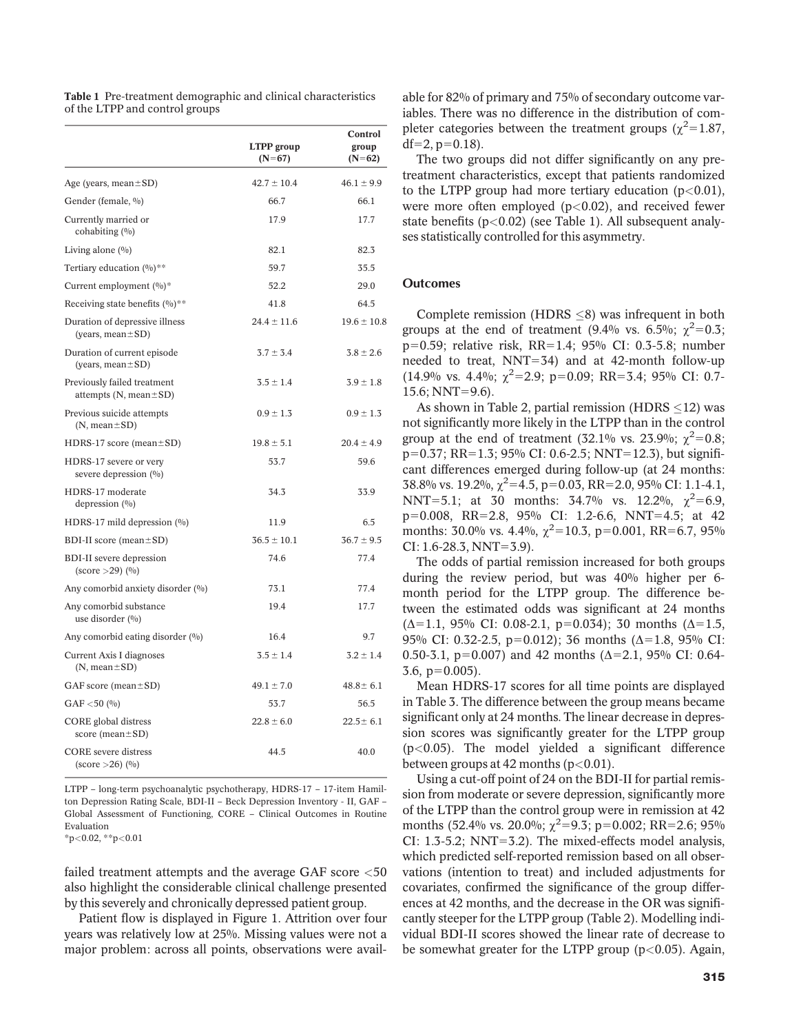|                                                                                                    | <b>LTPP</b> group<br>$(N=67)$ | Control<br>group<br>$(N=62)$ |
|----------------------------------------------------------------------------------------------------|-------------------------------|------------------------------|
| Age (years, mean $\pm$ SD)                                                                         | $42.7 \pm 10.4$               | $46.1 \pm 9.9$               |
| Gender (female, %)                                                                                 | 66.7                          | 66.1                         |
| Currently married or<br>cohabiting $(%)$                                                           | 17.9                          | 17.7                         |
| Living alone (%)                                                                                   | 82.1                          | 82.3                         |
| Tertiary education $(0/0)**$                                                                       | 59.7                          | 35.5                         |
| Current employment (%)*                                                                            | 52.2                          | 29.0                         |
| Receiving state benefits $(\%)^{**}$                                                               | 41.8                          | 64.5                         |
| Duration of depressive illness<br>(years, mean $\pm$ SD)                                           | $24.4 \pm 11.6$               | $19.6 \pm 10.8$              |
| Duration of current episode<br>(years, mean ± SD)                                                  | $3.7 \pm 3.4$                 | $3.8 \pm 2.6$                |
| Previously failed treatment<br>attempts $(N, mean \pm SD)$                                         | $3.5 \pm 1.4$                 | $3.9 \pm 1.8$                |
| Previous suicide attempts<br>$(N, mean \pm SD)$                                                    | $0.9 \pm 1.3$                 | $0.9 \pm 1.3$                |
| $HDRS-17$ score (mean $\pm SD$ )                                                                   | $19.8 \pm 5.1$                | $20.4 \pm 4.9$               |
| HDRS-17 severe or very<br>severe depression (%)                                                    | 53.7                          | 59.6                         |
| HDRS-17 moderate<br>depression $(\%)$                                                              | 34.3                          | 33.9                         |
| HDRS-17 mild depression $(\%)$                                                                     | 11.9                          | 6.5                          |
| BDI-II score (mean $\pm$ SD)                                                                       | $36.5 \pm 10.1$               | $36.7 \pm 9.5$               |
| <b>BDI-II</b> severe depression<br>$\left( \text{score} > 29 \right)$ $\left( \frac{0}{0} \right)$ | 74.6                          | 77.4                         |
| Any comorbid anxiety disorder (%)                                                                  | 73.1                          | 77.4                         |
| Any comorbid substance<br>use disorder $(%)$                                                       | 19.4                          | 17.7                         |
| Any comorbid eating disorder (%)                                                                   | 16.4                          | 9.7                          |
| Current Axis I diagnoses<br>$(N, mean \pm SD)$                                                     | $3.5 \pm 1.4$                 | $3.2 \pm 1.4$                |
| GAF score (mean $\pm$ SD)                                                                          | $49.1 \pm 7.0$                | $48.8 \pm 6.1$               |
| $GAF < 50$ (%)                                                                                     | 53.7                          | 56.5                         |
| CORE global distress<br>score (mean $\pm$ SD)                                                      | $22.8 \pm 6.0$                | $22.5 \pm 6.1$               |
| <b>CORE</b> severe distress<br>$(\text{score} > 26)$ $(\frac{0}{0})$                               | 44.5                          | 40.0                         |

Table 1 Pre-treatment demographic and clinical characteristics of the LTPP and control groups

LTPP – long-term psychoanalytic psychotherapy, HDRS-17 – 17-item Hamilton Depression Rating Scale, BDI-II – Beck Depression Inventory - II, GAF – Global Assessment of Functioning, CORE – Clinical Outcomes in Routine Evaluation

 $*p<0.02$ ,  $*p<0.01$ 

failed treatment attempts and the average GAF score  $<$ 50 also highlight the considerable clinical challenge presented by this severely and chronically depressed patient group.

Patient flow is displayed in Figure 1. Attrition over four years was relatively low at 25%. Missing values were not a major problem: across all points, observations were available for 82% of primary and 75% of secondary outcome variables. There was no difference in the distribution of completer categories between the treatment groups ( $\chi^2$ =1.87,  $df=2$ ,  $p=0.18$ ).

The two groups did not differ significantly on any pretreatment characteristics, except that patients randomized to the LTPP group had more tertiary education  $(p<0.01)$ , were more often employed  $(p<0.02)$ , and received fewer state benefits  $(p<0.02)$  (see Table 1). All subsequent analyses statistically controlled for this asymmetry.

#### **Outcomes**

Complete remission (HDRS  $\leq$ 8) was infrequent in both groups at the end of treatment (9.4% vs. 6.5%;  $\chi^2$ =0.3; p=0.59; relative risk, RR=1.4; 95% CI: 0.3-5.8; number needed to treat,  $NNT=34$ ) and at 42-month follow-up  $(14.9\% \text{ vs. } 4.4\%; \chi^2=2.9; \text{ p}=0.09; \text{ RR}=3.4; 95\% \text{ CI: } 0.7$ 15.6; NNT=9.6).

As shown in Table 2, partial remission (HDRS  ${\leq}12$ ) was not significantly more likely in the LTPP than in the control group at the end of treatment (32.1% vs. 23.9%;  $\chi^2$ =0.8;  $p=0.37$ ; RR=1.3; 95% CI: 0.6-2.5; NNT=12.3), but significant differences emerged during follow-up (at 24 months: 38.8% vs. 19.2%,  $\chi^2$ =4.5, p=0.03, RR=2.0, 95% CI: 1.1-4.1, NNT=5.1; at 30 months: 34.7% vs. 12.2%,  $\chi^2$ =6.9,  $p=0.008$ , RR=2.8, 95% CI: 1.2-6.6, NNT=4.5; at 42 months: 30.0% vs. 4.4%,  $\chi^2$ =10.3, p=0.001, RR=6.7, 95%  $CI: 1.6-28.3, NNT=3.9$ ).

The odds of partial remission increased for both groups during the review period, but was 40% higher per 6 month period for the LTPP group. The difference between the estimated odds was significant at 24 months  $(\Delta=1.1, 95\% \text{ CI: } 0.08-2.1, p=0.034)$ ; 30 months ( $\Delta=1.5$ , 95% CI: 0.32-2.5, p=0.012); 36 months ( $\Delta=1.8$ , 95% CI: 0.50-3.1, p=0.007) and 42 months ( $\Delta$ =2.1, 95% CI: 0.64- $3.6, p=0.005$ ).

Mean HDRS-17 scores for all time points are displayed in Table 3. The difference between the group means became significant only at 24 months. The linear decrease in depression scores was significantly greater for the LTPP group  $(p<0.05)$ . The model yielded a significant difference between groups at 42 months  $(p<0.01)$ .

Using a cut-off point of 24 on the BDI-II for partial remission from moderate or severe depression, significantly more of the LTPP than the control group were in remission at 42 months (52.4% vs. 20.0%;  $\chi^2$ =9.3; p=0.002; RR=2.6; 95% CI:  $1.3-5.2$ ; NNT=3.2). The mixed-effects model analysis, which predicted self-reported remission based on all observations (intention to treat) and included adjustments for covariates, confirmed the significance of the group differences at 42 months, and the decrease in the OR was significantly steeper for the LTPP group (Table 2). Modelling individual BDI-II scores showed the linear rate of decrease to be somewhat greater for the LTPP group ( $p < 0.05$ ). Again,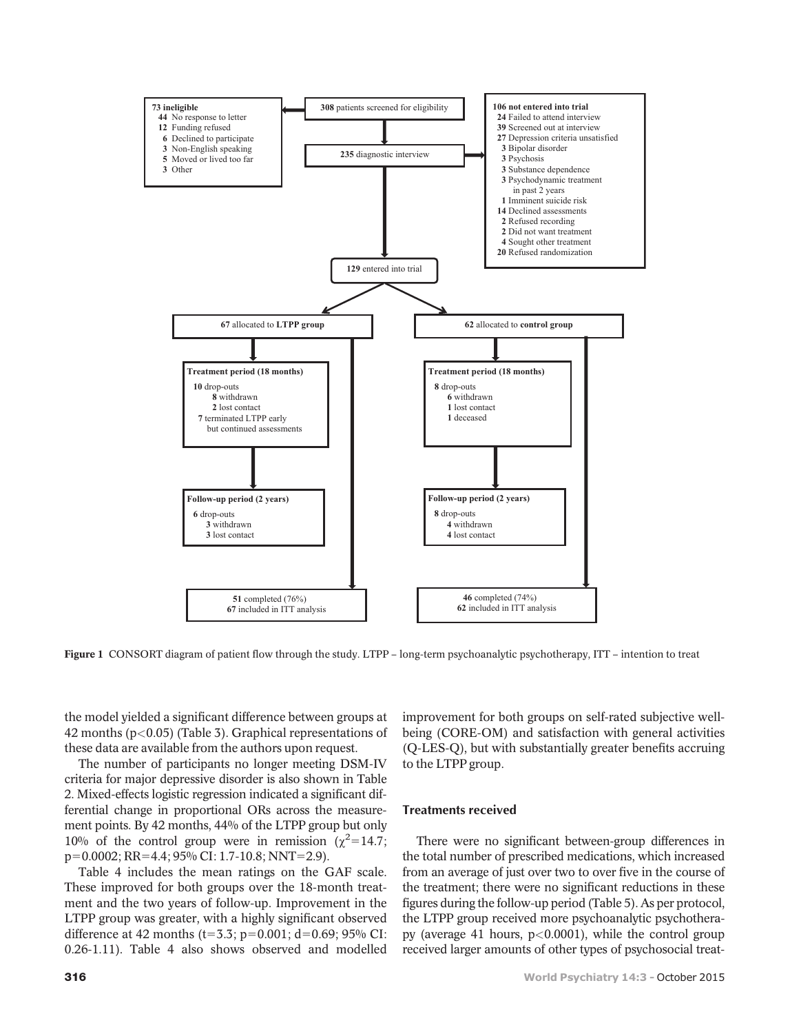

Figure 1 CONSORT diagram of patient flow through the study. LTPP – long-term psychoanalytic psychotherapy, ITT – intention to treat

the model yielded a significant difference between groups at 42 months (p<0.05) (Table 3). Graphical representations of these data are available from the authors upon request.

The number of participants no longer meeting DSM-IV criteria for major depressive disorder is also shown in Table 2. Mixed-effects logistic regression indicated a significant differential change in proportional ORs across the measurement points. By 42 months, 44% of the LTPP group but only 10% of the control group were in remission ( $\chi^2$ =14.7;  $p=0.0002$ ; RR=4.4; 95% CI: 1.7-10.8; NNT=2.9).

Table 4 includes the mean ratings on the GAF scale. These improved for both groups over the 18-month treatment and the two years of follow-up. Improvement in the LTPP group was greater, with a highly significant observed difference at 42 months (t=3.3; p=0.001; d=0.69; 95% CI: 0.26-1.11). Table 4 also shows observed and modelled improvement for both groups on self-rated subjective wellbeing (CORE-OM) and satisfaction with general activities (Q-LES-Q), but with substantially greater benefits accruing to the LTPP group.

### Treatments received

There were no significant between-group differences in the total number of prescribed medications, which increased from an average of just over two to over five in the course of the treatment; there were no significant reductions in these figures during the follow-up period (Table 5). As per protocol, the LTPP group received more psychoanalytic psychotherapy (average 41 hours,  $p<0.0001$ ), while the control group received larger amounts of other types of psychosocial treat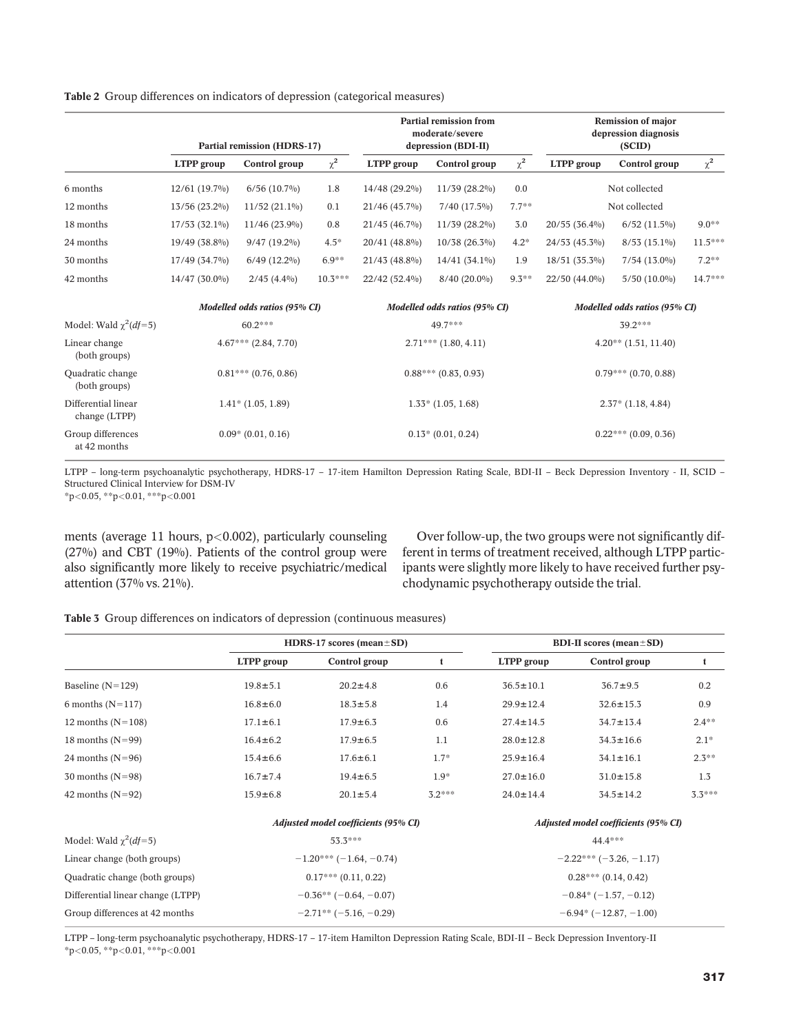Table 2 Group differences on indicators of depression (categorical measures)

|                                          | <b>Partial remission (HDRS-17)</b> |                   |           | <b>Partial remission from</b><br>moderate/severe<br>depression (BDI-II) |                   |                               | <b>Remission of major</b><br>depression diagnosis<br>(SCID) |                   |           |  |
|------------------------------------------|------------------------------------|-------------------|-----------|-------------------------------------------------------------------------|-------------------|-------------------------------|-------------------------------------------------------------|-------------------|-----------|--|
|                                          | LTPP group                         | Control group     | $\chi^2$  | LTPP group                                                              | Control group     | $\chi^2$                      | LTPP group                                                  | Control group     | $\chi^2$  |  |
| 6 months                                 | $12/61(19.7\%)$                    | $6/56$ $(10.7\%)$ | 1.8       | 14/48 (29.2%)                                                           | 11/39 (28.2%)     | 0.0                           |                                                             | Not collected     |           |  |
| 12 months                                | 13/56 (23.2%)                      | $11/52(21.1\%)$   | 0.1       | 21/46 (45.7%)                                                           | $7/40$ $(17.5\%)$ | $7.7**$                       | Not collected                                               |                   |           |  |
| 18 months                                | $17/53(32.1\%)$                    | 11/46 (23.9%)     | 0.8       | 21/45 (46.7%)                                                           | 11/39 (28.2%)     | 3.0                           | 20/55 (36.4%)                                               | $6/52$ $(11.5\%)$ | $9.0**$   |  |
| 24 months                                | 19/49 (38.8%)                      | $9/47(19.2\%)$    | $4.5*$    | 20/41 (48.8%)                                                           | $10/38(26.3\%)$   | $4.2*$                        | 24/53 (45.3%)                                               | $8/53(15.1\%)$    | $11.5***$ |  |
| 30 months                                | 17/49 (34.7%)                      | $6/49$ $(12.2\%)$ | $6.9***$  | 21/43 (48.8%)                                                           | $14/41(34.1\%)$   | 1.9                           | $18/51(35.3\%)$                                             | $7/54$ $(13.0\%)$ | $7.2**$   |  |
| 42 months                                | $14/47(30.0\%)$                    | $2/45(4.4\%)$     | $10.3***$ | 22/42 (52.4%)                                                           | $8/40(20.0\%)$    | $9.3***$                      | $22/50(44.0\%)$                                             | $5/50$ $(10.0\%)$ | $14.7***$ |  |
|                                          | Modelled odds ratios (95% CI)      |                   |           | Modelled odds ratios (95% CI)                                           |                   | Modelled odds ratios (95% CI) |                                                             |                   |           |  |
| Model: Wald $\chi^2(df=5)$               | 60.2***                            |                   |           | 49.7***                                                                 |                   |                               |                                                             | 39.2***           |           |  |
| Linear change<br>(both groups)           | $4.67***$ $(2.84, 7.70)$           |                   |           | $2.71***(1.80, 4.11)$                                                   |                   |                               | $4.20**$ $(1.51, 11.40)$                                    |                   |           |  |
| <b>Ouadratic change</b><br>(both groups) | $0.81***$ (0.76, 0.86)             |                   |           | $0.88***(0.83, 0.93)$                                                   |                   |                               | $0.79***$ (0.70, 0.88)                                      |                   |           |  |
| Differential linear<br>change (LTPP)     | $1.41*$ (1.05, 1.89)               |                   |           | $1.33*$ $(1.05, 1.68)$                                                  |                   |                               | $2.37*$ (1.18, 4.84)                                        |                   |           |  |
| Group differences<br>at 42 months        | $0.09*$ $(0.01, 0.16)$             |                   |           | $0.13*(0.01, 0.24)$                                                     |                   |                               | $0.22***(0.09, 0.36)$                                       |                   |           |  |

LTPP – long-term psychoanalytic psychotherapy, HDRS-17 – 17-item Hamilton Depression Rating Scale, BDI-II – Beck Depression Inventory - II, SCID – Structured Clinical Interview for DSM-IV

 $*p<0.05$ ,  $*p<0.01$ ,  $***p<0.001$ 

ments (average 11 hours,  $p<0.002$ ), particularly counseling (27%) and CBT (19%). Patients of the control group were also significantly more likely to receive psychiatric/medical attention (37% vs. 21%).

Over follow-up, the two groups were not significantly different in terms of treatment received, although LTPP participants were slightly more likely to have received further psychodynamic psychotherapy outside the trial.

Table 3 Group differences on indicators of depression (continuous measures)

|                                   |                | HDRS-17 scores (mean $\pm$ SD)       |          | <b>BDI-II</b> scores (mean $\pm$ SD) |                 |          |  |  |
|-----------------------------------|----------------|--------------------------------------|----------|--------------------------------------|-----------------|----------|--|--|
|                                   | LTPP group     | Control group                        | t        | LTPP group                           | Control group   | t        |  |  |
| Baseline $(N=129)$                | $19.8 \pm 5.1$ | $20.2 \pm 4.8$                       | 0.6      | $36.5 \pm 10.1$                      | $36.7 \pm 9.5$  | 0.2      |  |  |
| 6 months $(N=117)$                | $16.8 \pm 6.0$ | $18.3 \pm 5.8$                       | 1.4      | $29.9 \pm 12.4$                      | $32.6 \pm 15.3$ | 0.9      |  |  |
| 12 months $(N=108)$               | $17.1 \pm 6.1$ | $17.9 \pm 6.3$                       | 0.6      | $27.4 \pm 14.5$                      | $34.7 \pm 13.4$ | $2.4***$ |  |  |
| 18 months $(N=99)$                | $16.4 \pm 6.2$ | $17.9 \pm 6.5$                       | 1.1      | $28.0 \pm 12.8$                      | $34.3 \pm 16.6$ | $2.1*$   |  |  |
| 24 months $(N=96)$                | $15.4 \pm 6.6$ | $17.6 \pm 6.1$                       | $1.7*$   | $25.9 \pm 16.4$                      | $34.1 \pm 16.1$ | $2.3***$ |  |  |
| $30$ months (N=98)                | $16.7 \pm 7.4$ | $19.4 \pm 6.5$                       | $1.9*$   | $27.0 \pm 16.0$                      | $31.0 \pm 15.8$ | 1.3      |  |  |
| 42 months $(N=92)$                | $15.9 \pm 6.8$ | $20.1 \pm 5.4$                       | $3.2***$ | $24.0 \pm 14.4$                      | $34.5 \pm 14.2$ | $3.3***$ |  |  |
|                                   |                | Adjusted model coefficients (95% CI) |          | Adjusted model coefficients (95% CI) |                 |          |  |  |
| Model: Wald $\gamma^2(df=5)$      |                | $53.3***$                            |          |                                      | 44.4***         |          |  |  |
| Linear change (both groups)       |                | $-1.20***(-1.64,-0.74)$              |          | $-2.22***(-3.26,-1.17)$              |                 |          |  |  |
| Quadratic change (both groups)    |                | $0.17***(0.11, 0.22)$                |          | $0.28***(0.14, 0.42)$                |                 |          |  |  |
| Differential linear change (LTPP) |                | $-0.36**(-0.64, -0.07)$              |          | $-0.84*(-1.57, -0.12)$               |                 |          |  |  |
| Group differences at 42 months    |                | $-2.71**$ (-5.16, -0.29)             |          | $-6.94*(-12.87, -1.00)$              |                 |          |  |  |

LTPP – long-term psychoanalytic psychotherapy, HDRS-17 – 17-item Hamilton Depression Rating Scale, BDI-II – Beck Depression Inventory-II \*p<0.05, \*\*p<0.01, \*\*\*p<0.001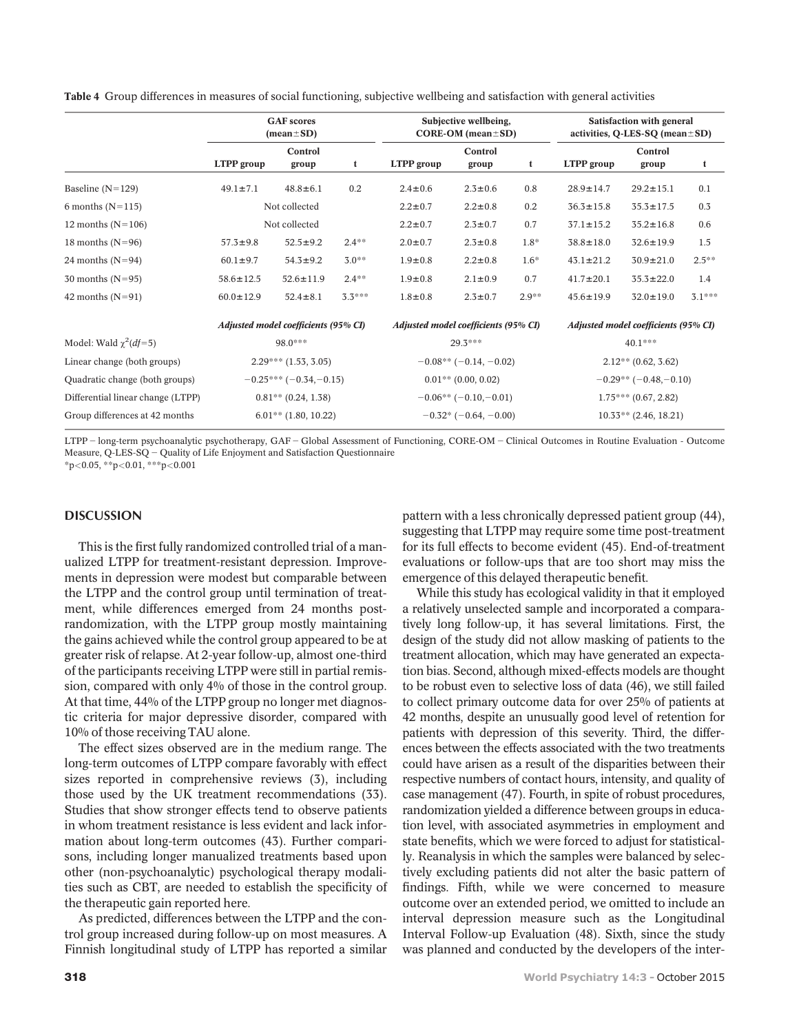Table 4 Group differences in measures of social functioning, subjective wellbeing and satisfaction with general activities

|                                   | <b>GAF</b> scores<br>$(\text{mean} \pm \text{SD})$ |                         |                                      | Subjective wellbeing,<br>CORE-OM (mean $\pm$ SD) |                        |                                      | Satisfaction with general<br>activities, Q-LES-SQ (mean $\pm$ SD) |                         |          |  |
|-----------------------------------|----------------------------------------------------|-------------------------|--------------------------------------|--------------------------------------------------|------------------------|--------------------------------------|-------------------------------------------------------------------|-------------------------|----------|--|
|                                   | LTPP group                                         | Control<br>group        | t                                    | LTPP group                                       | Control<br>group       | t                                    | LTPP group                                                        | Control<br>group        | t        |  |
| Baseline $(N=129)$                | $49.1 \pm 7.1$                                     | $48.8 \pm 6.1$          | 0.2                                  | $2.4 \pm 0.6$                                    | $2.3 \pm 0.6$          | 0.8                                  | $28.9 \pm 14.7$                                                   | $29.2 \pm 15.1$         | 0.1      |  |
| 6 months $(N=115)$                | Not collected                                      |                         |                                      | $2.2 \pm 0.7$                                    | $2.2 \pm 0.8$          | 0.2                                  | $36.3 \pm 15.8$                                                   | $35.3 \pm 17.5$         | 0.3      |  |
| 12 months $(N=106)$               |                                                    | Not collected           |                                      | $2.2 \pm 0.7$                                    | $2.3 \pm 0.7$          | 0.7                                  | $37.1 \pm 15.2$                                                   | $35.2 \pm 16.8$         | 0.6      |  |
| 18 months $(N=96)$                | $57.3 \pm 9.8$                                     | $52.5 \pm 9.2$          | $2.4***$                             | $2.0 \pm 0.7$                                    | $2.3 \pm 0.8$          | $1.8*$                               | $38.8 \pm 18.0$                                                   | $32.6 \pm 19.9$         | 1.5      |  |
| 24 months $(N=94)$                | $60.1 \pm 9.7$                                     | $54.3 \pm 9.2$          | $3.0**$                              | $1.9 + 0.8$                                      | $2.2 \pm 0.8$          | $1.6*$                               | $43.1 \pm 21.2$                                                   | $30.9 \pm 21.0$         | $2.5***$ |  |
| 30 months $(N=95)$                | $58.6 \pm 12.5$                                    | $52.6 \pm 11.9$         | $2.4***$                             | $1.9 + 0.8$                                      | $2.1 \pm 0.9$          | 0.7                                  | $41.7 \pm 20.1$                                                   | $35.3 \pm 22.0$         | 1.4      |  |
| 42 months $(N=91)$                | $60.0 \pm 12.9$                                    | $52.4 \pm 8.1$          | $3.3***$                             | $1.8 + 0.8$                                      | $2.3 \pm 0.7$          | $2.9***$                             | $45.6 \pm 19.9$                                                   | $32.0 \pm 19.0$         | $3.1***$ |  |
|                                   | Adjusted model coefficients (95% CI)               |                         | Adjusted model coefficients (95% CI) |                                                  |                        | Adjusted model coefficients (95% CI) |                                                                   |                         |          |  |
| Model: Wald $\chi^2(df=5)$        |                                                    | 98.0***                 |                                      |                                                  | $29.3***$              |                                      |                                                                   | 40.1***                 |          |  |
| Linear change (both groups)       |                                                    | $2.29***(1.53, 3.05)$   |                                      | $-0.08$ ** (-0.14, -0.02)                        |                        |                                      | $2.12**$ (0.62, 3.62)                                             |                         |          |  |
| Quadratic change (both groups)    |                                                    | $-0.25***(-0.34,-0.15)$ |                                      | $0.01**$ (0.00, 0.02)                            |                        |                                      | $-0.29**(-0.48,-0.10)$                                            |                         |          |  |
| Differential linear change (LTPP) | $0.81**$ (0.24, 1.38)                              |                         |                                      | $-0.06**(-0.10,-0.01)$                           |                        |                                      | $1.75***(0.67, 2.82)$                                             |                         |          |  |
| Group differences at 42 months    | $6.01**$ (1.80, 10.22)                             |                         |                                      |                                                  | $-0.32*(-0.64, -0.00)$ |                                      |                                                                   | $10.33**$ (2.46, 18.21) |          |  |

LTPP - long-term psychoanalytic psychotherapy, GAF - Global Assessment of Functioning, CORE-OM - Clinical Outcomes in Routine Evaluation - Outcome Measure, Q-LES-SQ - Quality of Life Enjoyment and Satisfaction Questionnaire

 $*p<0.05$ ,  $*p<0.01$ ,  $***p<0.001$ 

### DISCUSSION

This is the first fully randomized controlled trial of a manualized LTPP for treatment-resistant depression. Improvements in depression were modest but comparable between the LTPP and the control group until termination of treatment, while differences emerged from 24 months postrandomization, with the LTPP group mostly maintaining the gains achieved while the control group appeared to be at greater risk of relapse. At 2-year follow-up, almost one-third of the participants receiving LTPP were still in partial remission, compared with only 4% of those in the control group. At that time, 44% of the LTPP group no longer met diagnostic criteria for major depressive disorder, compared with 10% of those receiving TAU alone.

The effect sizes observed are in the medium range. The long-term outcomes of LTPP compare favorably with effect sizes reported in comprehensive reviews (3), including those used by the UK treatment recommendations (33). Studies that show stronger effects tend to observe patients in whom treatment resistance is less evident and lack information about long-term outcomes (43). Further comparisons, including longer manualized treatments based upon other (non-psychoanalytic) psychological therapy modalities such as CBT, are needed to establish the specificity of the therapeutic gain reported here.

As predicted, differences between the LTPP and the control group increased during follow-up on most measures. A Finnish longitudinal study of LTPP has reported a similar

pattern with a less chronically depressed patient group (44), suggesting that LTPP may require some time post-treatment for its full effects to become evident (45). End-of-treatment evaluations or follow-ups that are too short may miss the emergence of this delayed therapeutic benefit.

While this study has ecological validity in that it employed a relatively unselected sample and incorporated a comparatively long follow-up, it has several limitations. First, the design of the study did not allow masking of patients to the treatment allocation, which may have generated an expectation bias. Second, although mixed-effects models are thought to be robust even to selective loss of data (46), we still failed to collect primary outcome data for over 25% of patients at 42 months, despite an unusually good level of retention for patients with depression of this severity. Third, the differences between the effects associated with the two treatments could have arisen as a result of the disparities between their respective numbers of contact hours, intensity, and quality of case management (47). Fourth, in spite of robust procedures, randomization yielded a difference between groups in education level, with associated asymmetries in employment and state benefits, which we were forced to adjust for statistically. Reanalysis in which the samples were balanced by selectively excluding patients did not alter the basic pattern of findings. Fifth, while we were concerned to measure outcome over an extended period, we omitted to include an interval depression measure such as the Longitudinal Interval Follow-up Evaluation (48). Sixth, since the study was planned and conducted by the developers of the inter-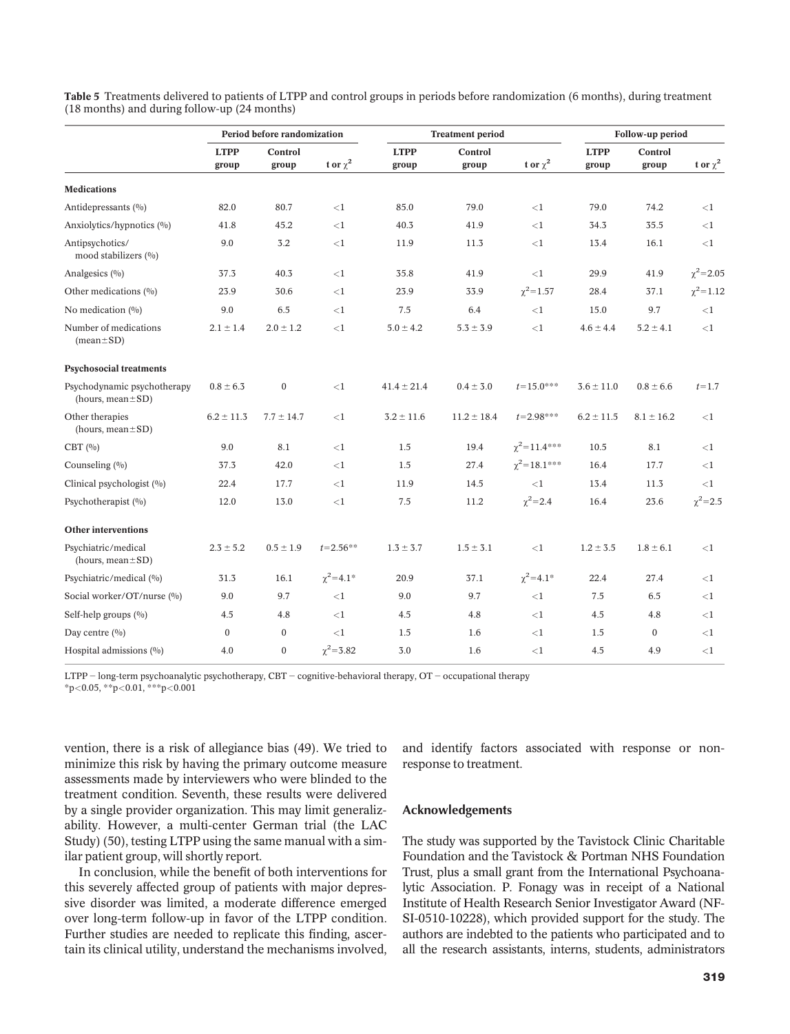|                                                        | Period before randomization |                  |                    |                      | <b>Treatment period</b> | Follow-up period      |                      |                  |                   |
|--------------------------------------------------------|-----------------------------|------------------|--------------------|----------------------|-------------------------|-----------------------|----------------------|------------------|-------------------|
|                                                        | <b>LTPP</b><br>group        | Control<br>group | t or $\chi^2$      | <b>LTPP</b><br>group | Control<br>group        | t or $\chi^2$         | <b>LTPP</b><br>group | Control<br>group | t or $\chi^2$     |
| <b>Medications</b>                                     |                             |                  |                    |                      |                         |                       |                      |                  |                   |
| Antidepressants (%)                                    | 82.0                        | 80.7             | <1                 | 85.0                 | 79.0                    | <1                    | 79.0                 | 74.2             | ${<}1$            |
| Anxiolytics/hypnotics (%)                              | 41.8                        | 45.2             | ${<}1$             | 40.3                 | 41.9                    | ${<}1$                | 34.3                 | 35.5             | ${<}1$            |
| Antipsychotics/<br>mood stabilizers (%)                | 9.0                         | 3.2              | ${<}1$             | 11.9                 | 11.3                    | ${<}1$                | 13.4                 | 16.1             | $\leq 1$          |
| Analgesics $(0/0)$                                     | 37.3                        | 40.3             | ${<}1$             | 35.8                 | 41.9                    | $\leq$ 1              | 29.9                 | 41.9             | $\gamma^2$ = 2.05 |
| Other medications (%)                                  | 23.9                        | 30.6             | ${<}1$             | 23.9                 | 33.9                    | $\chi^2$ = 1.57       | 28.4                 | 37.1             | $\chi^2$ = 1.12   |
| No medication $(%)$                                    | 9.0                         | 6.5              | ${<}1$             | 7.5                  | 6.4                     | ${<}1$                | 15.0                 | 9.7              | ${<}1$            |
| Number of medications<br>$(\text{mean} \pm \text{SD})$ | $2.1 \pm 1.4$               | $2.0 \pm 1.2$    | <1                 | $5.0 \pm 4.2$        | $5.3 \pm 3.9$           | <1                    | $4.6 \pm 4.4$        | $5.2 \pm 4.1$    | ${<}1$            |
| <b>Psychosocial treatments</b>                         |                             |                  |                    |                      |                         |                       |                      |                  |                   |
| Psychodynamic psychotherapy<br>(hours, $mean \pm SD$ ) | $0.8 \pm 6.3$               | $\boldsymbol{0}$ | <1                 | $41.4 \pm 21.4$      | $0.4 \pm 3.0$           | $t = 15.0***$         | $3.6 \pm 11.0$       | $0.8 \pm 6.6$    | $t = 1.7$         |
| Other therapies<br>(hours, mean $\pm$ SD)              | $6.2 \pm 11.3$              | $7.7 \pm 14.7$   | <1                 | $3.2 \pm 11.6$       | $11.2 \pm 18.4$         | $t = 2.98***$         | $6.2 \pm 11.5$       | $8.1 \pm 16.2$   | ${<}1$            |
| $CBT($ %)                                              | 9.0                         | 8.1              | ${<}1$             | 1.5                  | 19.4                    | $\chi^2$ = 11.4***    | 10.5                 | 8.1              | ${<}1$            |
| Counseling (%)                                         | 37.3                        | 42.0             | ${<}1$             | 1.5                  | 27.4                    | $\gamma^2 = 18.1$ *** | 16.4                 | 17.7             | $\leq 1$          |
| Clinical psychologist (%)                              | 22.4                        | 17.7             | ${<}1$             | 11.9                 | 14.5                    | ${<}1$                | 13.4                 | 11.3             | $\leq 1$          |
| Psychotherapist (%)                                    | 12.0                        | 13.0             | <1                 | 7.5                  | 11.2                    | $\chi^2$ = 2.4        | 16.4                 | 23.6             | $\gamma^2 = 2.5$  |
| <b>Other interventions</b>                             |                             |                  |                    |                      |                         |                       |                      |                  |                   |
| Psychiatric/medical<br>(hours, mean $\pm$ SD)          | $2.3 \pm 5.2$               | $0.5 \pm 1.9$    | $t = 2.56**$       | $1.3 \pm 3.7$        | $1.5 \pm 3.1$           | <1                    | $1.2 \pm 3.5$        | $1.8 \pm 6.1$    | ${<}1$            |
| Psychiatric/medical (%)                                | 31.3                        | 16.1             | $\gamma^2 = 4.1^*$ | 20.9                 | 37.1                    | $\chi^2$ = 4.1*       | 22.4                 | 27.4             | ${<}1$            |
| Social worker/OT/nurse (%)                             | 9.0                         | 9.7              | <1                 | 9.0                  | 9.7                     | <1                    | 7.5                  | 6.5              | ${<}1$            |
| Self-help groups $(%)$                                 | 4.5                         | 4.8              | ${<}1$             | 4.5                  | 4.8                     | ${<}1$                | 4.5                  | 4.8              | ${<}1$            |
| Day centre $(\%)$                                      | $\mathbf{0}$                | $\Omega$         | ${<}1$             | 1.5                  | 1.6                     | ${<}1$                | 1.5                  | $\Omega$         | ${<}1$            |
| Hospital admissions (%)                                | 4.0                         | $\mathbf{0}$     | $\gamma^2 = 3.82$  | 3.0                  | 1.6                     | $\leq$ 1              | 4.5                  | 4.9              | ${<}1$            |

Table 5 Treatments delivered to patients of LTPP and control groups in periods before randomization (6 months), during treatment (18 months) and during follow-up (24 months)

LTPP  $-$  long-term psychoanalytic psychotherapy, CBT  $-$  cognitive-behavioral therapy, OT  $-$  occupational therapy

\*p<0.05, \*\*p<0.01, \*\*\*p<0.001

vention, there is a risk of allegiance bias (49). We tried to minimize this risk by having the primary outcome measure assessments made by interviewers who were blinded to the treatment condition. Seventh, these results were delivered by a single provider organization. This may limit generalizability. However, a multi-center German trial (the LAC Study) (50), testing LTPP using the same manual with a similar patient group, will shortly report.

In conclusion, while the benefit of both interventions for this severely affected group of patients with major depressive disorder was limited, a moderate difference emerged over long-term follow-up in favor of the LTPP condition. Further studies are needed to replicate this finding, ascertain its clinical utility, understand the mechanisms involved, and identify factors associated with response or nonresponse to treatment.

### Acknowledgements

The study was supported by the Tavistock Clinic Charitable Foundation and the Tavistock & Portman NHS Foundation Trust, plus a small grant from the International Psychoanalytic Association. P. Fonagy was in receipt of a National Institute of Health Research Senior Investigator Award (NF-SI-0510-10228), which provided support for the study. The authors are indebted to the patients who participated and to all the research assistants, interns, students, administrators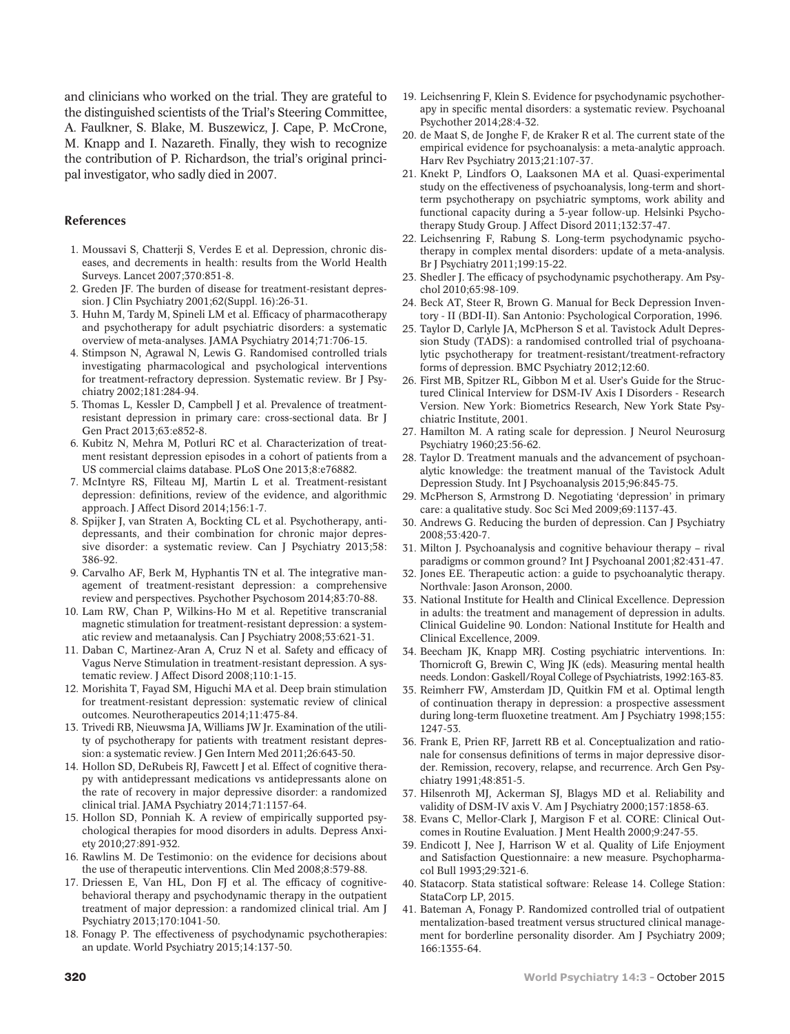and clinicians who worked on the trial. They are grateful to the distinguished scientists of the Trial's Steering Committee, A. Faulkner, S. Blake, M. Buszewicz, J. Cape, P. McCrone, M. Knapp and I. Nazareth. Finally, they wish to recognize the contribution of P. Richardson, the trial's original principal investigator, who sadly died in 2007.

#### References

- 1. Moussavi S, Chatterji S, Verdes E et al. Depression, chronic diseases, and decrements in health: results from the World Health Surveys. Lancet 2007;370:851-8.
- 2. Greden JF. The burden of disease for treatment-resistant depression. J Clin Psychiatry 2001;62(Suppl. 16):26-31.
- 3. Huhn M, Tardy M, Spineli LM et al. Efficacy of pharmacotherapy and psychotherapy for adult psychiatric disorders: a systematic overview of meta-analyses. JAMA Psychiatry 2014;71:706-15.
- 4. Stimpson N, Agrawal N, Lewis G. Randomised controlled trials investigating pharmacological and psychological interventions for treatment-refractory depression. Systematic review. Br J Psychiatry 2002;181:284-94.
- 5. Thomas L, Kessler D, Campbell J et al. Prevalence of treatmentresistant depression in primary care: cross-sectional data. Br J Gen Pract 2013;63:e852-8.
- 6. Kubitz N, Mehra M, Potluri RC et al. Characterization of treatment resistant depression episodes in a cohort of patients from a US commercial claims database. PLoS One 2013;8:e76882.
- 7. McIntyre RS, Filteau MJ, Martin L et al. Treatment-resistant depression: definitions, review of the evidence, and algorithmic approach. J Affect Disord 2014;156:1-7.
- 8. Spijker J, van Straten A, Bockting CL et al. Psychotherapy, antidepressants, and their combination for chronic major depressive disorder: a systematic review. Can J Psychiatry 2013;58: 386-92.
- 9. Carvalho AF, Berk M, Hyphantis TN et al. The integrative management of treatment-resistant depression: a comprehensive review and perspectives. Psychother Psychosom 2014;83:70-88.
- 10. Lam RW, Chan P, Wilkins-Ho M et al. Repetitive transcranial magnetic stimulation for treatment-resistant depression: a systematic review and metaanalysis. Can J Psychiatry 2008;53:621-31.
- 11. Daban C, Martinez-Aran A, Cruz N et al. Safety and efficacy of Vagus Nerve Stimulation in treatment-resistant depression. A systematic review. J Affect Disord 2008;110:1-15.
- 12. Morishita T, Fayad SM, Higuchi MA et al. Deep brain stimulation for treatment-resistant depression: systematic review of clinical outcomes. Neurotherapeutics 2014;11:475-84.
- 13. Trivedi RB, Nieuwsma JA, Williams JW Jr. Examination of the utility of psychotherapy for patients with treatment resistant depression: a systematic review. J Gen Intern Med 2011;26:643-50.
- 14. Hollon SD, DeRubeis RJ, Fawcett J et al. Effect of cognitive therapy with antidepressant medications vs antidepressants alone on the rate of recovery in major depressive disorder: a randomized clinical trial. JAMA Psychiatry 2014;71:1157-64.
- 15. Hollon SD, Ponniah K. A review of empirically supported psychological therapies for mood disorders in adults. Depress Anxiety 2010;27:891-932.
- 16. Rawlins M. De Testimonio: on the evidence for decisions about the use of therapeutic interventions. Clin Med 2008;8:579-88.
- 17. Driessen E, Van HL, Don FJ et al. The efficacy of cognitivebehavioral therapy and psychodynamic therapy in the outpatient treatment of major depression: a randomized clinical trial. Am J Psychiatry 2013;170:1041-50.
- 18. Fonagy P. The effectiveness of psychodynamic psychotherapies: an update. World Psychiatry 2015;14:137-50.
- 19. Leichsenring F, Klein S. Evidence for psychodynamic psychotherapy in specific mental disorders: a systematic review. Psychoanal Psychother 2014;28:4-32.
- 20. de Maat S, de Jonghe F, de Kraker R et al. The current state of the empirical evidence for psychoanalysis: a meta-analytic approach. Harv Rev Psychiatry 2013;21:107-37.
- 21. Knekt P, Lindfors O, Laaksonen MA et al. Quasi-experimental study on the effectiveness of psychoanalysis, long-term and shortterm psychotherapy on psychiatric symptoms, work ability and functional capacity during a 5-year follow-up. Helsinki Psychotherapy Study Group. J Affect Disord 2011;132:37-47.
- 22. Leichsenring F, Rabung S. Long-term psychodynamic psychotherapy in complex mental disorders: update of a meta-analysis. Br J Psychiatry 2011;199:15-22.
- 23. Shedler J. The efficacy of psychodynamic psychotherapy. Am Psychol 2010;65:98-109.
- 24. Beck AT, Steer R, Brown G. Manual for Beck Depression Inventory - II (BDI-II). San Antonio: Psychological Corporation, 1996.
- 25. Taylor D, Carlyle JA, McPherson S et al. Tavistock Adult Depression Study (TADS): a randomised controlled trial of psychoanalytic psychotherapy for treatment-resistant/treatment-refractory forms of depression. BMC Psychiatry 2012;12:60.
- 26. First MB, Spitzer RL, Gibbon M et al. User's Guide for the Structured Clinical Interview for DSM-IV Axis I Disorders - Research Version. New York: Biometrics Research, New York State Psychiatric Institute, 2001.
- 27. Hamilton M. A rating scale for depression. J Neurol Neurosurg Psychiatry 1960;23:56-62.
- 28. Taylor D. Treatment manuals and the advancement of psychoanalytic knowledge: the treatment manual of the Tavistock Adult Depression Study. Int J Psychoanalysis 2015;96:845-75.
- 29. McPherson S, Armstrong D. Negotiating 'depression' in primary care: a qualitative study. Soc Sci Med 2009;69:1137-43.
- 30. Andrews G. Reducing the burden of depression. Can J Psychiatry 2008;53:420-7.
- 31. Milton J. Psychoanalysis and cognitive behaviour therapy rival paradigms or common ground? Int J Psychoanal 2001;82:431-47.
- 32. Jones EE. Therapeutic action: a guide to psychoanalytic therapy. Northvale: Jason Aronson, 2000.
- 33. National Institute for Health and Clinical Excellence. Depression in adults: the treatment and management of depression in adults. Clinical Guideline 90. London: National Institute for Health and Clinical Excellence, 2009.
- 34. Beecham JK, Knapp MRJ. Costing psychiatric interventions. In: Thornicroft G, Brewin C, Wing JK (eds). Measuring mental health needs. London: Gaskell/Royal College of Psychiatrists, 1992:163-83.
- 35. Reimherr FW, Amsterdam JD, Quitkin FM et al. Optimal length of continuation therapy in depression: a prospective assessment during long-term fluoxetine treatment. Am J Psychiatry 1998;155: 1247-53.
- 36. Frank E, Prien RF, Jarrett RB et al. Conceptualization and rationale for consensus definitions of terms in major depressive disorder. Remission, recovery, relapse, and recurrence. Arch Gen Psychiatry 1991;48:851-5.
- 37. Hilsenroth MJ, Ackerman SJ, Blagys MD et al. Reliability and validity of DSM-IV axis V. Am J Psychiatry 2000;157:1858-63.
- 38. Evans C, Mellor-Clark J, Margison F et al. CORE: Clinical Outcomes in Routine Evaluation. J Ment Health 2000;9:247-55.
- 39. Endicott J, Nee J, Harrison W et al. Quality of Life Enjoyment and Satisfaction Questionnaire: a new measure. Psychopharmacol Bull 1993;29:321-6.
- 40. Statacorp. Stata statistical software: Release 14. College Station: StataCorp LP, 2015.
- 41. Bateman A, Fonagy P. Randomized controlled trial of outpatient mentalization-based treatment versus structured clinical management for borderline personality disorder. Am J Psychiatry 2009; 166:1355-64.